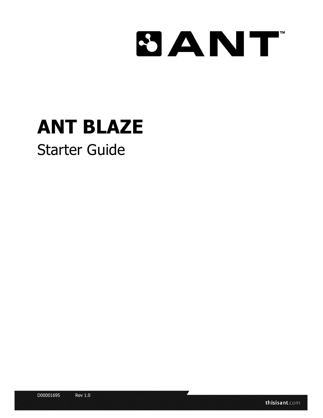# **SANT**

# **ANT BLAZE**

# Starter Guide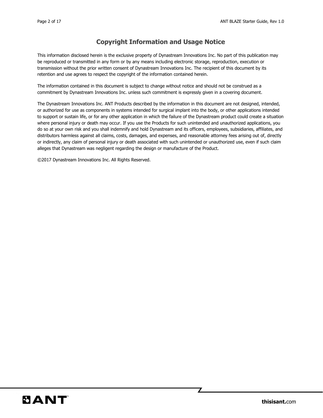### **Copyright Information and Usage Notice**

This information disclosed herein is the exclusive property of Dynastream Innovations Inc. No part of this publication may be reproduced or transmitted in any form or by any means including electronic storage, reproduction, execution or transmission without the prior written consent of Dynastream Innovations Inc. The recipient of this document by its retention and use agrees to respect the copyright of the information contained herein.

The information contained in this document is subject to change without notice and should not be construed as a commitment by Dynastream Innovations Inc. unless such commitment is expressly given in a covering document.

The Dynastream Innovations Inc. ANT Products described by the information in this document are not designed, intended, or authorized for use as components in systems intended for surgical implant into the body, or other applications intended to support or sustain life, or for any other application in which the failure of the Dynastream product could create a situation where personal injury or death may occur. If you use the Products for such unintended and unauthorized applications, you do so at your own risk and you shall indemnify and hold Dynastream and its officers, employees, subsidiaries, affiliates, and distributors harmless against all claims, costs, damages, and expenses, and reasonable attorney fees arising out of, directly or indirectly, any claim of personal injury or death associated with such unintended or unauthorized use, even if such claim alleges that Dynastream was negligent regarding the design or manufacture of the Product.

©2017 Dynastream Innovations Inc. All Rights Reserved.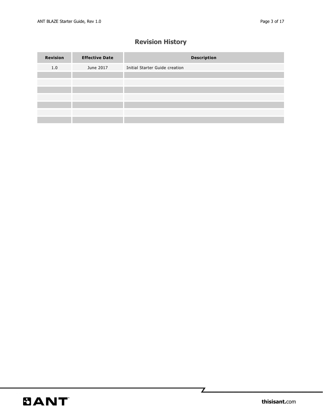# **Revision History**

| <b>Revision</b> | <b>Effective Date</b> | <b>Description</b>             |
|-----------------|-----------------------|--------------------------------|
| 1.0             | June 2017             | Initial Starter Guide creation |
|                 |                       |                                |
|                 |                       |                                |
|                 |                       |                                |
|                 |                       |                                |
|                 |                       |                                |
|                 |                       |                                |
|                 |                       |                                |

 $\mathbb Z$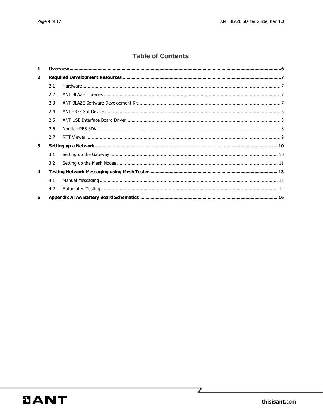### **Table of Contents**

| $\mathbf{1}$     |               |  |  |  |  |  |
|------------------|---------------|--|--|--|--|--|
| $\overline{2}$   |               |  |  |  |  |  |
|                  | 2.1           |  |  |  |  |  |
|                  | $2.2^{\circ}$ |  |  |  |  |  |
|                  | 2.3           |  |  |  |  |  |
|                  | 2.4           |  |  |  |  |  |
|                  | 2.5           |  |  |  |  |  |
|                  | 2.6           |  |  |  |  |  |
|                  | 2.7           |  |  |  |  |  |
| 3                |               |  |  |  |  |  |
|                  | 3.1           |  |  |  |  |  |
|                  | 3.2           |  |  |  |  |  |
| $\boldsymbol{4}$ |               |  |  |  |  |  |
|                  | 4.1           |  |  |  |  |  |
|                  | 4.2           |  |  |  |  |  |
| 5                |               |  |  |  |  |  |

Z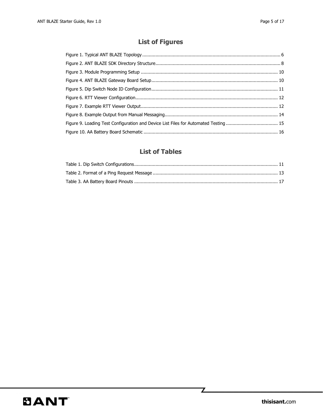# **List of Figures**

| Figure 9. Loading Test Configuration and Device List Files for Automated Testing  15 |  |
|--------------------------------------------------------------------------------------|--|
|                                                                                      |  |

## **List of Tables**

 $\mathbf{Z}$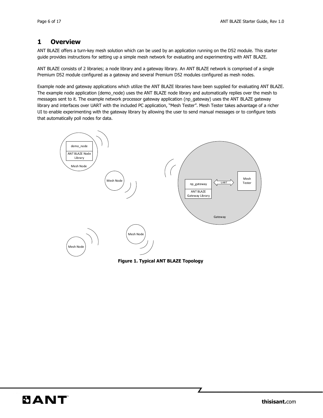#### <span id="page-5-0"></span>**1 Overview**

ANT BLAZE offers a turn-key mesh solution which can be used by an application running on the D52 module. This starter guide provides instructions for setting up a simple mesh network for evaluating and experimenting with ANT BLAZE.

ANT BLAZE consists of 2 libraries; a node library and a gateway library. An ANT BLAZE network is comprised of a single Premium D52 module configured as a gateway and several Premium D52 modules configured as mesh nodes.

Example node and gateway applications which utilize the ANT BLAZE libraries have been supplied for evaluating ANT BLAZE. The example node application (demo\_node) uses the ANT BLAZE node library and automatically replies over the mesh to messages sent to it. The example network processor gateway application (np\_gateway) uses the ANT BLAZE gateway library and interfaces over UART with the included PC application, "Mesh Tester". Mesh Tester takes advantage of a richer UI to enable experimenting with the gateway library by allowing the user to send manual messages or to configure tests that automatically poll nodes for data.



**Figure 1. Typical ANT BLAZE Topology**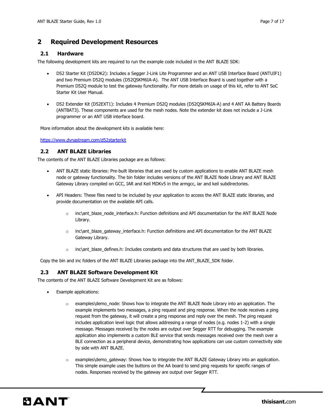#### <span id="page-6-0"></span>**2 Required Development Resources**

#### <span id="page-6-1"></span>**2.1 Hardware**

The following development kits are required to run the example code included in the ANT BLAZE SDK:

- D52 Starter Kit (D52DK2): Includes a Segger J-Link Lite Programmer and an ANT USB Interface Board (ANTUIF1) and two Premium D52Q modules (D52QSKM6IA-A). The ANT USB Interface Board is used together with a Premium D52Q module to test the gateway functionality. For more details on usage of this kit, refer to ANT SoC Starter Kit User Manual.
- D52 Extender Kit (D52EXT1): Includes 4 Premium D52Q modules (D52QSKM6IA-A) and 4 ANT AA Battery Boards (ANTBAT3). These components are used for the mesh nodes. Note the extender kit does not include a J-Link programmer or an ANT USB interface board.

More information about the development kits is available here:

<https://www.dynastream.com/d52starterkit>

#### <span id="page-6-2"></span>**2.2 ANT BLAZE Libraries**

The contents of the ANT BLAZE Libraries package are as follows:

- ANT BLAZE static libraries: Pre-built libraries that are used by custom applications to enable ANT BLAZE mesh node or gateway functionality. The bin folder includes versions of the ANT BLAZE Node Library and ANT BLAZE Gateway Library compiled on GCC, IAR and Keil MDKv5 in the armgcc, iar and keil subdirectories.
- API Headers: These files need to be included by your application to access the ANT BLAZE static libraries, and provide documentation on the available API calls.
	- $\circ$  inc\ant\_blaze\_node\_interface.h: Function definitions and API documentation for the ANT BLAZE Node Library.
	- $\circ$  inc\ant blaze gateway interface.h: Function definitions and API documentation for the ANT BLAZE Gateway Library.
	- o inc\ant\_blaze\_defines.h: Includes constants and data structures that are used by both libraries.

Copy the bin and inc folders of the ANT BLAZE Libraries package into the ANT\_BLAZE\_SDK folder.

#### <span id="page-6-3"></span>**2.3 ANT BLAZE Software Development Kit**

The contents of the ANT BLAZE Software Development Kit are as follows:

- Example applications:
	- $\circ$  examples\demo\_node: Shows how to integrate the ANT BLAZE Node Library into an application. The example implements two messages, a ping request and ping response. When the node receives a ping request from the gateway, it will create a ping response and reply over the mesh. The ping request includes application level logic that allows addressing a range of nodes (e.g. nodes 1-2) with a single message. Messages received by the nodes are output over Segger RTT for debugging. The example application also implements a custom BLE service that sends messages received over the mesh over a BLE connection as a peripheral device, demonstrating how applications can use custom connectivity side by side with ANT BLAZE.
	- $\circ$  examples\demo\_gateway: Shows how to integrate the ANT BLAZE Gateway Library into an application. This simple example uses the buttons on the AA board to send ping requests for specific ranges of nodes. Responses received by the gateway are output over Segger RTT.

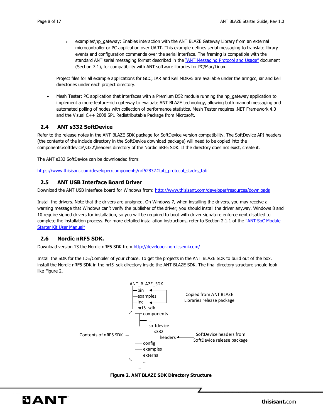$\circ$  examples\np\_gateway: Enables interaction with the ANT BLAZE Gateway Library from an external microcontroller or PC application over UART. This example defines serial messaging to translate library events and configuration commands over the serial interface. The framing is compatible with the standard ANT serial messaging format described in the ["ANT Messaging Protocol and Usage"](https://www.thisisant.com/developer/resources/downloads/#documents_tab) document (Section 7.1), for compatibility with ANT software libraries for PC/Mac/Linux.

Project files for all example applications for GCC, IAR and Keil MDKv5 are available under the armgcc, iar and keil directories under each project directory.

 Mesh Tester: PC application that interfaces with a Premium D52 module running the np\_gateway application to implement a more feature-rich gateway to evaluate ANT BLAZE technology, allowing both manual messaging and automated polling of nodes with collection of performance statistics. Mesh Tester requires .NET Framework 4.0 and the Visual C++ 2008 SP1 Redistributable Package from Microsoft.

#### <span id="page-7-0"></span>**2.4 ANT s332 SoftDevice**

Refer to the release notes in the ANT BLAZE SDK package for SoftDevice version compatibility. The SoftDevice API headers (the contents of the include directory in the SoftDevice download package) will need to be copied into the components\softdevice\s332\headers directory of the Nordic nRF5 SDK. If the directory does not exist, create it.

The ANT s332 SoftDevice can be downloaded from:

[https://www.thisisant.com/developer/components/nrf52832#tab\\_protocol\\_stacks\\_tab](https://www.thisisant.com/developer/components/nrf52832#tab_protocol_stacks_tab)

#### <span id="page-7-1"></span>**2.5 ANT USB Interface Board Driver**

Download the ANT USB interface board for Windows from:<http://www.thisisant.com/developer/resources/downloads>

Install the drivers. Note that the drivers are unsigned. On Windows 7, when installing the drivers, you may receive a warning message that Windows can't verify the publisher of the driver; you should install the driver anyway. Windows 8 and 10 require signed drivers for installation, so you will be required to boot with driver signature enforcement disabled to complete the installation process. For more detailed installation instructions, refer to Section 2.1.1 of the "ANT SoC Module [Starter Kit User Manual"](https://www.thisisant.com/developer/resources/downloads/#documents_tab)

#### <span id="page-7-2"></span>**2.6 Nordic nRF5 SDK.**

Download version 13 the Nordic nRF5 SDK from<http://developer.nordicsemi.com/>

Install the SDK for the IDE/Compiler of your choice. To get the projects in the ANT BLAZE SDK to build out of the box, install the Nordic nRF5 SDK in the nrf5\_sdk directory inside the ANT BLAZE SDK. The final directory structure should look like [Figure 2.](#page-7-3)



<span id="page-7-3"></span>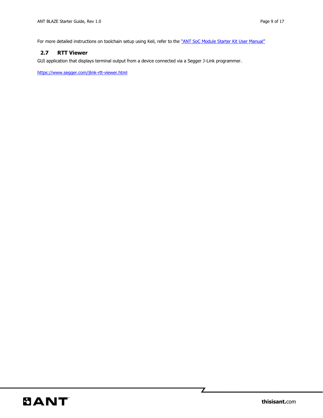For more detailed instructions on toolchain setup using Keil, refer to the ["ANT SoC Module Starter Kit User Manual"](https://www.thisisant.com/developer/resources/downloads/#documents_tab)

#### <span id="page-8-0"></span>**2.7 RTT Viewer**

GUI application that displays terminal output from a device connected via a Segger J-Link programmer.

<https://www.segger.com/jlink-rtt-viewer.html>

 $\mathbb Z$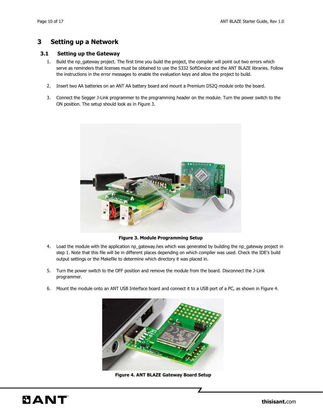#### <span id="page-9-0"></span>**3 Setting up a Network**

#### <span id="page-9-1"></span>**3.1 Setting up the Gateway**

- 1. Build the np\_gateway project. The first time you build the project, the compiler will point out two errors which serve as reminders that licenses must be obtained to use the S332 SoftDevice and the ANT BLAZE libraries. Follow the instructions in the error messages to enable the evaluation keys and allow the project to build.
- 2. Insert two AA batteries on an ANT AA battery board and mount a Premium D52Q module onto the board.
- 3. Connect the Segger J-Link programmer to the programming header on the module. Turn the power switch to the ON position. The setup should look as in [Figure 3.](#page-9-2)



**Figure 3. Module Programming Setup**

- <span id="page-9-2"></span>4. Load the module with the application np\_gateway.hex which was generated by building the np\_gateway project in step 1. Note that this file will be in different places depending on which compiler was used. Check the IDE's build output settings or the Makefile to determine which directory it was placed in.
- 5. Turn the power switch to the OFF position and remove the module from the board. Disconnect the J-Link programmer.
- 6. Mount the module onto an ANT USB Interface board and connect it to a USB port of a PC, as shown in [Figure 4.](#page-9-3)

<span id="page-9-3"></span>

**Figure 4. ANT BLAZE Gateway Board Setup**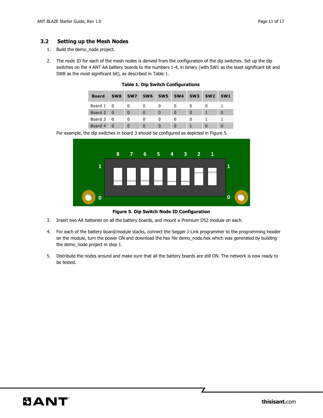#### <span id="page-10-0"></span>**3.2 Setting up the Mesh Nodes**

- 1. Build the demo\_node project.
- <span id="page-10-1"></span>2. The node ID for each of the mesh nodes is derived from the configuration of the dip switches. Set up the dip switches on the 4 ANT AA battery boards to the numbers 1-4, in binary (with SW1 as the least significant bit and SW8 as the most significant bit), as described in [Table 1.](#page-10-1)

| <b>Board</b> | SW <sub>8</sub> | SW <sub>7</sub> | SW <sub>6</sub> | SW5      | SW <sub>4</sub> | SW <sub>3</sub> | SW <sub>2</sub> | SW <sub>1</sub> |
|--------------|-----------------|-----------------|-----------------|----------|-----------------|-----------------|-----------------|-----------------|
| Board 1 0    |                 |                 |                 |          |                 |                 |                 |                 |
| Board 2 0    |                 | $\Omega$        | $\Omega$        | $\Omega$ | $\Omega$        | $\Omega$        |                 | $\Omega$        |
| Board 3 0    |                 |                 | n               | $\Omega$ | n               | O               |                 |                 |
| Board 4      |                 |                 | $\Omega$        | $\Omega$ | $\Omega$        |                 |                 |                 |

**Table 1. Dip Switch Configurations**

For example, the dip switches in board 3 should be configured as depicted in [Figure 5.](#page-10-2)



**Figure 5. Dip Switch Node ID Configuration**

- <span id="page-10-2"></span>3. Insert two AA batteries on all the battery boards, and mount a Premium D52 module on each.
- 4. For each of the battery board/module stacks, connect the Segger J-Link programmer to the programming header on the module, turn the power ON and download the hex file demo\_node.hex which was generated by building the demo\_node project in step 1.
- 5. Distribute the nodes around and make sure that all the battery boards are still ON. The network is now ready to be tested.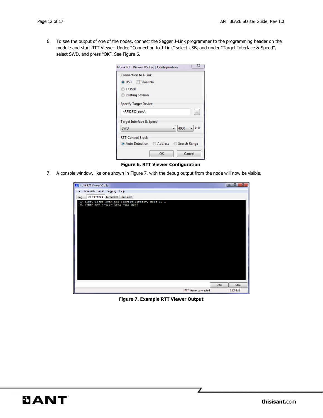6. To see the output of one of the nodes, connect the Segger J-Link programmer to the programming header on the module and start RTT Viewer. Under **"**Connection to J-Link" select USB, and under "Target Interface & Speed", select SWD, and press "OK". See [Figure 6.](#page-11-0)

| J-Link RTT Viewer V5.12g   Configuration  | 23                   |
|-------------------------------------------|----------------------|
| <b>Connection to J-Link</b>               |                      |
| O USB <b>Serial No</b>                    |                      |
| ◯ TCP/IP                                  |                      |
| Existing Session                          |                      |
| <b>Specify Target Device</b>              |                      |
| nRF52832 xxAA                             | $\ddot{\phantom{a}}$ |
| Target Interface & Speed                  |                      |
| 4000<br><b>SWD</b>                        | kHz                  |
| <b>RTT Control Block</b>                  |                      |
| ◎ Auto Detection △ Address △ Search Range |                      |
| Cancel<br>OK                              |                      |

<span id="page-11-0"></span>**Figure 6. RTT Viewer Configuration**

7. A console window, like one shown in [Figure 7,](#page-11-1) with the debug output from the node will now be visible.

| J-Link RTT Viewer V5.12g                            |       | $\overline{\mathbf{x}}$ |
|-----------------------------------------------------|-------|-------------------------|
| File Terminals Input Logging<br>Help                |       |                         |
| All Terminals   Terminal 0   Terminal 1<br>Log      |       |                         |
| 0>: INFO: Start Scan and Forward Library, Node ID 1 |       |                         |
| 0>:INFO:BLE advertising evt: 0x03                   |       |                         |
|                                                     |       |                         |
|                                                     |       |                         |
|                                                     |       |                         |
|                                                     |       |                         |
|                                                     |       |                         |
|                                                     |       |                         |
|                                                     |       |                         |
|                                                     |       |                         |
|                                                     |       |                         |
|                                                     |       |                         |
|                                                     |       |                         |
|                                                     |       |                         |
|                                                     |       |                         |
|                                                     |       |                         |
|                                                     |       |                         |
|                                                     |       |                         |
|                                                     | Enter | Clear                   |
| RTT Viewer connected.                               |       | 0.000 MB                |

<span id="page-11-1"></span>**Figure 7. Example RTT Viewer Output**

Z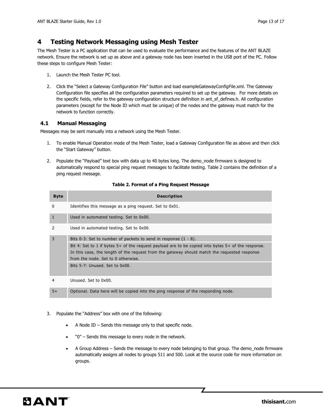#### <span id="page-12-0"></span>**4 Testing Network Messaging using Mesh Tester**

The Mesh Tester is a PC application that can be used to evaluate the performance and the features of the ANT BLAZE network. Ensure the network is set up as above and a gateway node has been inserted in the USB port of the PC. Follow these steps to configure Mesh Tester:

- 1. Launch the Mesh Tester PC tool.
- 2. Click the "Select a Gateway Configuration File" button and load exampleGatewayConfigFile.xml. The Gateway Configuration file specifies all the configuration parameters required to set up the gateway. For more details on the specific fields, refer to the gateway configuration structure definition in ant\_sf\_defines.h. All configuration parameters (except for the Node ID which must be unique) of the nodes and the gateway must match for the network to function correctly.

#### <span id="page-12-1"></span>**4.1 Manual Messaging**

Messages may be sent manually into a network using the Mesh Tester.

- 1. To enable Manual Operation mode of the Mesh Tester, load a Gateway Configuration file as above and then click the "Start Gateway" button.
- 2. Populate the "Payload" text box with data up to 40 bytes long. The demo\_node firmware is designed to automatically respond to special ping request messages to facilitate testing. [Table 2](#page-12-2) contains the definition of a ping request message.

<span id="page-12-2"></span>

| <b>Byte</b> | <b>Description</b>                                                                                                                                                                                                                                                                                                                                     |
|-------------|--------------------------------------------------------------------------------------------------------------------------------------------------------------------------------------------------------------------------------------------------------------------------------------------------------------------------------------------------------|
| 0           | Identifies this message as a ping request. Set to 0x01.                                                                                                                                                                                                                                                                                                |
| 1           | Used in automated testing. Set to 0x00.                                                                                                                                                                                                                                                                                                                |
| 2           | Used in automated testing. Set to 0x00.                                                                                                                                                                                                                                                                                                                |
| 3           | Bits 0-3: Set to number of packets to send in response $(1 - 8)$ .<br>Bit 4: Set to 1 if bytes 5+ of the request payload are to be copied into bytes 5+ of the response.<br>In this case, the length of the request from the gateway should match the requested response<br>from the node. Set to 0 otherwise.<br>Bits $5-7$ : Unused. Set to $0x00$ . |
| 4           | Unused. Set to 0x00.                                                                                                                                                                                                                                                                                                                                   |
| $5+$        | Optional. Data here will be copied into the ping response of the responding node.                                                                                                                                                                                                                                                                      |

#### **Table 2. Format of a Ping Request Message**

#### 3. Populate the "Address" box with one of the following:

- A Node ID Sends this message only to that specific node.
- "0" Sends this message to every node in the network.
- A Group Address Sends the message to every node belonging to that group. The demo\_node firmware automatically assigns all nodes to groups 511 and 500. Look at the source code for more information on groups.

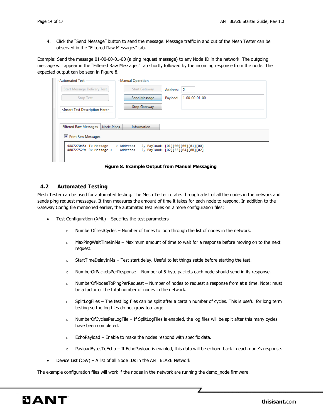4. Click the "Send Message" button to send the message. Message traffic in and out of the Mesh Tester can be observed in the "Filtered Raw Messages" tab.

Example: Send the message 01-00-00-01-00 (a ping request message) to any Node ID in the network. The outgoing message will appear in the "Filtered Raw Messages" tab shortly followed by the incoming response from the node. The expected output can be seen in [Figure 8.](#page-13-1)

| <b>Automated Test</b>                            |            | <b>Manual Operation</b> |          |                                  |
|--------------------------------------------------|------------|-------------------------|----------|----------------------------------|
| Start Message Delivery Test                      |            | <b>Start Gateway</b>    | Address: | $\overline{2}$                   |
| <b>Stop Test</b>                                 |            | Send Message            | Payload: | 1-00-00-01-00                    |
| <insert description="" here="" test=""></insert> |            | <b>Stop Gateway</b>     |          |                                  |
|                                                  |            |                         |          |                                  |
| <b>Filtered Raw Messages</b>                     | Node Pings | Information             |          |                                  |
| Print Raw Messages                               |            |                         |          |                                  |
| 488727045: Tx Message ---> Address:              |            |                         |          | 2, Payload: [01][00][00][01][00] |
| 488727529: Rx Message <--- Address:              |            |                         |          | 2, Payload: [02][FF][04][0B][02] |
|                                                  |            |                         |          |                                  |

**Figure 8. Example Output from Manual Messaging**

#### <span id="page-13-1"></span><span id="page-13-0"></span>**4.2 Automated Testing**

Mesh Tester can be used for automated testing. The Mesh Tester rotates through a list of all the nodes in the network and sends ping request messages. It then measures the amount of time it takes for each node to respond. In addition to the Gateway Config file mentioned earlier, the automated test relies on 2 more configuration files:

- Test Configuration (XML) Specifies the test parameters
	- $\circ$  NumberOfTestCycles Number of times to loop through the list of nodes in the network.
	- $\circ$  MaxPingWaitTimeInMs Maximum amount of time to wait for a response before moving on to the next request.
	- $\circ$  StartTimeDelayInMs Test start delay. Useful to let things settle before starting the test.
	- o NumberOfPacketsPerResponse Number of 5-byte packets each node should send in its response.
	- o NumberOfNodesToPingPerRequest Number of nodes to request a response from at a time. Note: must be a factor of the total number of nodes in the network.
	- o SplitLogFiles The test log files can be split after a certain number of cycles. This is useful for long term testing so the log files do not grow too large.
	- o NumberOfCyclesPerLogFile If SplitLogFiles is enabled, the log files will be split after this many cycles have been completed.
	- $\circ$  EchoPayload Enable to make the nodes respond with specific data.
	- $\circ$  PayloadBytesToEcho If EchoPayload is enabled, this data will be echoed back in each node's response.
- Device List (CSV) A list of all Node IDs in the ANT BLAZE Network.

The example configuration files will work if the nodes in the network are running the demo\_node firmware.

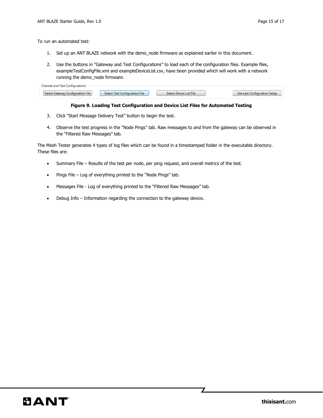To run an automated test:

- 1. Set up an ANT BLAZE network with the demo\_node firmware as explained earlier in this document.
- 2. Use the buttons in "Gateway and Test Configurations" to load each of the configuration files. Example files, exampleTestConfigFile.xml and exampleDeviceList.csv, have been provided which will work with a network running the demo\_node firmware.

| hannel and<br>, Lest Contiguirations. |                                  |                         |                              |
|---------------------------------------|----------------------------------|-------------------------|------------------------------|
| Select Gateway Configuration File     | <b>Select Test Configuration</b> | Select Device List File | Use Last Configuration Setup |

#### **Figure 9. Loading Test Configuration and Device List Files for Automated Testing**

- 3. Click "Start Message Delivery Test" button to begin the test.
- 4. Observe the test progress in the "Node Pings" tab. Raw messages to and from the gateway can be observed in the "Filtered Raw Messages" tab.

The Mesh Tester generates 4 types of log files which can be found in a timestamped folder in the executable directory. These files are:

- Summary File Results of the test per node, per ping request, and overall metrics of the test.
- Pings File Log of everything printed to the "Node Pings" tab.
- Messages File Log of everything printed to the "Filtered Raw Messages" tab.
- Debug Info Information regarding the connection to the gateway device.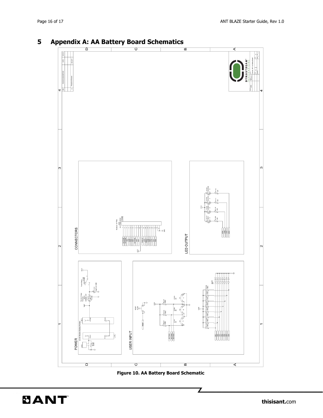

# <span id="page-15-0"></span>**5 Appendix A: AA Battery Board Schematics**



<span id="page-15-1"></span>**BANT**